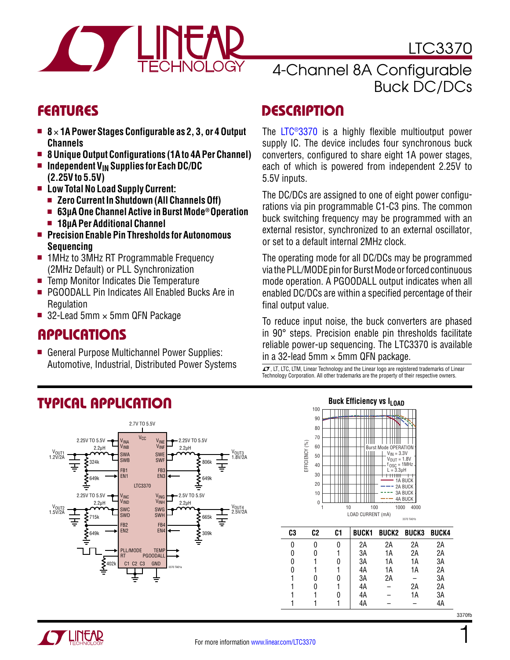<span id="page-0-0"></span>

LTC3370

- 8 × 1A Power Stages Configurable as 2, 3, or 4 Output **Channels**
- 8 Unique Output Configurations (1A to 4A Per Channel)
- **n** Independent V<sub>IN</sub> Supplies for Each DC/DC **(2.25V to 5.5V)**
- <sup>n</sup> **Low Total No Load Supply Current:**
	- Zero Current In Shutdown (All Channels Off)
	- 63µA One Channel Active in Burst Mode<sup>®</sup> Operation
	- 18µA Per Additional Channel
- **n** Precision Enable Pin Thresholds for Autonomous **Sequencing**
- 1MHz to 3MHz RT Programmable Frequency (2MHz Default) or PLL Synchronization
- Temp Monitor Indicates Die Temperature
- PGOODALL Pin Indicates All Enabled Bucks Are in **Regulation**
- 32-Lead 5mm  $\times$  5mm QFN Package

### Applications

■ General Purpose Multichannel Power Supplies: Automotive, Industrial, Distributed Power Systems<br>  $\frac{1}{\mathcal{A}}$ , LT, LTC, LTM, Linear Technology and the Linear logo are registered trademarks of Linear

## 4-Channel 8A Configurable Buck DC/DCs

### FEATURES DESCRIPTION

The [LTC®3370](http://www.linear.com/LTC3370) is a highly flexible multioutput power supply IC. The device includes four synchronous buck converters, configured to share eight 1A power stages, each of which is powered from independent 2.25V to 5.5V inputs.

The DC/DCs are assigned to one of eight power configurations via pin programmable C1-C3 pins. The common buck switching frequency may be programmed with an external resistor, synchronized to an external oscillator, or set to a default internal 2MHz clock.

The operating mode for all DC/DCs may be programmed via the PLL/MODE pin for Burst Mode or forced continuous mode operation. A PGOODALL output indicates when all enabled DC/DCs are within a specified percentage of their final output value.

To reduce input noise, the buck converters are phased in 90° steps. Precision enable pin thresholds facilitate reliable power-up sequencing. The LTC3370 is available in a 32-lead 5mm  $\times$  5mm QFN package.

Technology Corporation. All other trademarks are the property of their respective owners.

#### Typical Application 2.7V TO 5.5V  $V_{C}$ 2.25V TO 5.5V  $2.25V$  TO 5.5V VINE VINF VINB  $2.2\mu$ H  $\blacksquare$  VINE VINF $\square$  2.2 $\mu$ H V<sub>OUT1</sub> V<sub>OUT3</sub><br>1.8V/2A SWA SWE 1.2V/2A SWB SW 324k 806k Ξ ᆂ FB1 FB3 EN1 EN3 649k 649k LTC3370 2.25V TO 5.5V 2.5V TO 5.5V VINC V<sub>ING</sub><br>V<sub>INH</sub> VIND  $2.2\mu$ H  $\blacksquare$   $\blacksquare$   $\blacksquare$   $\blacksquare$   $\blacksquare$   $2.2\mu$ H V<sub>OUT2</sub><br>1.5V/2A V<sub>OUT4</sub><br>2.5V/2A SWC SWG SWD SWH 665k 715k ⋣ H FB2 FB4 EN<sub>2</sub> EN4 649k  $\sum$ 309k PLL/MODE **TEMP** PGOODALL RT C1 C2 C3 GND 402k



| 0 |   | 2A | 2A | 2A | 2A |
|---|---|----|----|----|----|
| 0 |   | 3A | 1A | 2A | 2A |
| 0 |   | 3A | 1А | 1A | ЗA |
| 0 |   | 4A | 1А | 1А | 2A |
|   |   | 3A | 2Α |    | ЗA |
|   |   | 4A |    | 2A | 2A |
|   | 0 | 4A |    | 1А | 3A |
|   |   | 4A |    |    | 4A |

1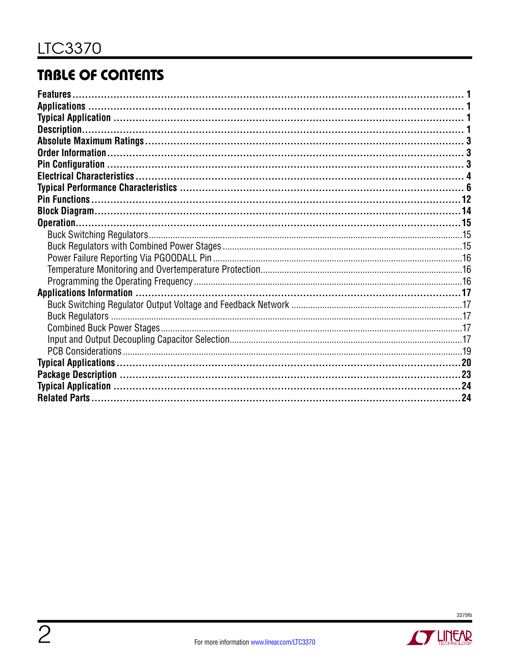# **TABLE OF CONTENTS**

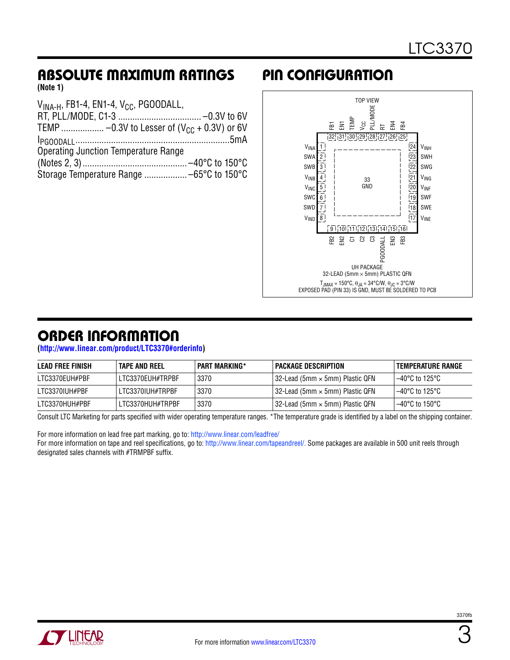# <span id="page-2-0"></span>Absolute Maximum Ratings Pin Configuration

**(Note 1)**

| $VINA-H$ , FB1-4, EN1-4, V <sub>CC</sub> , PGOODALL, |
|------------------------------------------------------|
|                                                      |
|                                                      |
|                                                      |
| <b>Operating Junction Temperature Range</b>          |
|                                                      |
|                                                      |
|                                                      |



## ORDER INFORMATION

**[\(http://www.linear.com/product/LTC3370#orderinfo](http://www.linear.com/product/LTC3370#orderinfo))**

| <b>LEAD FREE FINISH</b> | <b>TAPE AND REEL</b> | PART MARKING* | I PACKAGE DESCRIPTION                      | TEMPERATURE RANGE |
|-------------------------|----------------------|---------------|--------------------------------------------|-------------------|
| LTC3370EUH#PBF          | LTC3370EUH#TRPBF     | 3370          | $132$ -Lead (5mm $\times$ 5mm) Plastic QFN | 1–40°C to 125°C   |
| LTC3370IUH#PBF          | LTC3370IUH#TRPBF     | 3370          | 32-Lead (5mm × 5mm) Plastic QFN            | ' –40°C to 125°C  |
| LTC3370HUH#PBF          | LTC3370HUH#TRPBF     | 3370          | 32-Lead (5mm × 5mm) Plastic QFN            | 1–40°C to 150°C   |

Consult LTC Marketing for parts specified with wider operating temperature ranges. \*The temperature grade is identified by a label on the shipping container.

For more information on lead free part marking, go to: http://www.linear.com/leadfree/

For more information on tape and reel specifications, go to: http://www.linear.com/tapeandreel/. Some packages are available in 500 unit reels through designated sales channels with #TRMPBF suffix.

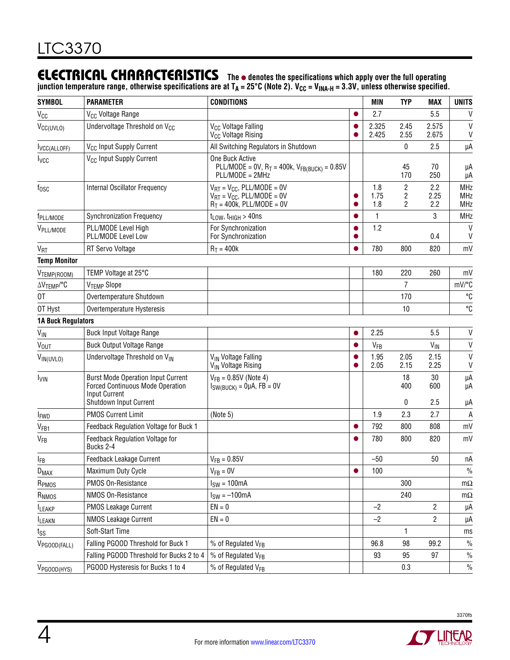### <span id="page-3-0"></span>**ELECTRICAL CHARACTERISTICS** The  $\bullet$  denotes the specifications which apply over the full operating

junction temperature range, otherwise specifications are at T<sub>A</sub> = 25°C (Note 2). V<sub>CC</sub> = V<sub>INA-H</sub> = 3.3V, unless otherwise specified.

| <b>SYMBOL</b>                   | <b>PARAMETER</b>                                                                                                                       | <b>CONDITIONS</b>                                                                                                                  |                        | <b>MIN</b>         | <b>TYP</b>                            | <b>MAX</b>         | <b>UNITS</b>                           |
|---------------------------------|----------------------------------------------------------------------------------------------------------------------------------------|------------------------------------------------------------------------------------------------------------------------------------|------------------------|--------------------|---------------------------------------|--------------------|----------------------------------------|
| V <sub>CC</sub>                 | V <sub>CC</sub> Voltage Range                                                                                                          |                                                                                                                                    | $\bullet$              | 2.7                |                                       | 5.5                | V                                      |
| V <sub>CC(UVLO)</sub>           | Undervoltage Threshold on V <sub>CC</sub>                                                                                              | V <sub>CC</sub> Voltage Falling<br>V <sub>CC</sub> Voltage Rising                                                                  | $\bullet$              | 2.325<br>2.425     | 2.45<br>2.55                          | 2.575<br>2.675     | $\vee$<br>V                            |
| IVCC(ALLOFF)                    | V <sub>CC</sub> Input Supply Current                                                                                                   | All Switching Regulators in Shutdown                                                                                               |                        |                    | 0                                     | 2.5                | μA                                     |
| <b>I</b> vcc                    | V <sub>CC</sub> Input Supply Current                                                                                                   | One Buck Active<br>PLL/MODE = 0V, $R_T = 400k$ , $V_{FB(BUCK)} = 0.85V$<br>PLL/MODE = 2MHz                                         |                        |                    | 45<br>170                             | 70<br>250          | μA<br>μA                               |
| $f_{\rm OSC}$                   | Internal Oscillator Frequency                                                                                                          | $V_{\text{RT}} = V_{\text{CC}}$ , PLL/MODE = 0V<br>$V_{\text{RT}} = V_{\text{CC}}$ , PLL/MODE = 0V<br>$R_T = 400k$ , PLL/MODE = 0V | $\bullet$              | 1.8<br>1.75<br>1.8 | $\overline{2}$<br>2<br>$\overline{2}$ | 2.2<br>2.25<br>2.2 | <b>MHz</b><br><b>MHz</b><br><b>MHz</b> |
| f <sub>PLL/MODE</sub>           | <b>Synchronization Frequency</b>                                                                                                       | $t_{LOW}$ , $t_{HIGH} > 40$ ns                                                                                                     | $\bullet$              | 1                  |                                       | 3                  | <b>MHz</b>                             |
| VPLL/MODE                       | PLL/MODE Level High<br>PLL/MODE Level Low                                                                                              | For Synchronization<br>For Synchronization                                                                                         | $\bullet$<br>$\bullet$ | 1.2                |                                       | 0.4                | V<br>V                                 |
| <b>V<sub>RT</sub></b>           | RT Servo Voltage                                                                                                                       | $R_T = 400k$                                                                                                                       | $\bullet$              | 780                | 800                                   | 820                | mV                                     |
| <b>Temp Monitor</b>             |                                                                                                                                        |                                                                                                                                    |                        |                    |                                       |                    |                                        |
| V <sub>TEMP</sub> (ROOM)        | TEMP Voltage at 25°C                                                                                                                   |                                                                                                                                    |                        | 180                | 220                                   | 260                | mV                                     |
| $\Delta V$ TEMP <sup>/°</sup> C | V <sub>TEMP</sub> Slope                                                                                                                |                                                                                                                                    |                        |                    | 7                                     |                    | mV/°C                                  |
| 0T                              | Overtemperature Shutdown                                                                                                               |                                                                                                                                    |                        |                    | 170                                   |                    | $^{\circ}C$                            |
| OT Hyst                         | Overtemperature Hysteresis                                                                                                             |                                                                                                                                    |                        |                    | 10                                    |                    | °C                                     |
| <b>1A Buck Regulators</b>       |                                                                                                                                        |                                                                                                                                    |                        |                    |                                       |                    |                                        |
| $V_{\text{IN}}$                 | <b>Buck Input Voltage Range</b>                                                                                                        |                                                                                                                                    | $\bullet$              | 2.25               |                                       | 5.5                | V                                      |
| V <sub>OUT</sub>                | <b>Buck Output Voltage Range</b>                                                                                                       |                                                                                                                                    | $\bullet$              | VFB                |                                       | $V_{\text{IN}}$    | $\sf V$                                |
| VIN(UVLO)                       | Undervoltage Threshold on VIN                                                                                                          | V <sub>IN</sub> Voltage Falling<br>V <sub>IN</sub> Voltage Rising                                                                  | $\bullet$<br>$\bullet$ | 1.95<br>2.05       | 2.05<br>2.15                          | 2.15<br>2.25       | $\vee$<br>V                            |
| <b>IVIN</b>                     | <b>Burst Mode Operation Input Current</b><br><b>Forced Continuous Mode Operation</b><br><b>Input Current</b><br>Shutdown Input Current | $V_{FB} = 0.85V$ (Note 4)<br>$I_{SW(BUCK)} = 0 \mu A$ , FB = 0V                                                                    |                        |                    | 18<br>400<br>0                        | 30<br>600<br>2.5   | μA<br>μA<br>μA                         |
| <b>I</b> <sub>FWD</sub>         | <b>PMOS Current Limit</b>                                                                                                              | (Note 5)                                                                                                                           |                        | 1.9                | 2.3                                   | 2.7                | A                                      |
| V <sub>FB1</sub>                | Feedback Regulation Voltage for Buck 1                                                                                                 |                                                                                                                                    | $\bullet$              | 792                | 800                                   | 808                | mV                                     |
| V <sub>FB</sub>                 | Feedback Regulation Voltage for<br>Bucks 2-4                                                                                           |                                                                                                                                    | $\bullet$              | 780                | 800                                   | 820                | mV                                     |
| <b>IFB</b>                      | Feedback Leakage Current                                                                                                               | $V_{FB} = 0.85V$                                                                                                                   |                        | $-50$              |                                       | 50                 | nA                                     |
| $D_{MAX}$                       | Maximum Duty Cycle                                                                                                                     | $V_{FB} = 0V$                                                                                                                      | $\bullet$              | 100                |                                       |                    | $\%$                                   |
| R <sub>PMOS</sub>               | PMOS On-Resistance                                                                                                                     | $ISW = 100mA$                                                                                                                      |                        |                    | 300                                   |                    | $m\Omega$                              |
| R <sub>NMOS</sub>               | NMOS On-Resistance                                                                                                                     | $I_{SW} = -100mA$                                                                                                                  |                        |                    | 240                                   |                    | $m\Omega$                              |
| <b>ILEAKP</b>                   | <b>PMOS Leakage Current</b>                                                                                                            | $EN = 0$                                                                                                                           |                        | $-2$               |                                       | $\overline{c}$     | μA                                     |
| <b>ILEAKN</b>                   | <b>NMOS Leakage Current</b>                                                                                                            | $EN = 0$                                                                                                                           |                        | $-2$               |                                       | 2                  | μA                                     |
| tss                             | Soft-Start Time                                                                                                                        |                                                                                                                                    |                        |                    | $\mathbf{1}$                          |                    | ms                                     |
| V <sub>PGOOD</sub> (FALL)       | Falling PGOOD Threshold for Buck 1                                                                                                     | % of Regulated VFB                                                                                                                 |                        | 96.8               | 98                                    | 99.2               | $\%$                                   |
|                                 | Falling PGOOD Threshold for Bucks 2 to 4                                                                                               | % of Regulated V <sub>FB</sub>                                                                                                     |                        | 93                 | 95                                    | 97                 | $\%$                                   |
| V <sub>PGOOD</sub> (HYS)        | PGOOD Hysteresis for Bucks 1 to 4                                                                                                      | % of Regulated VFB                                                                                                                 |                        |                    | 0.3                                   |                    | $\%$                                   |



**STATEAR** 

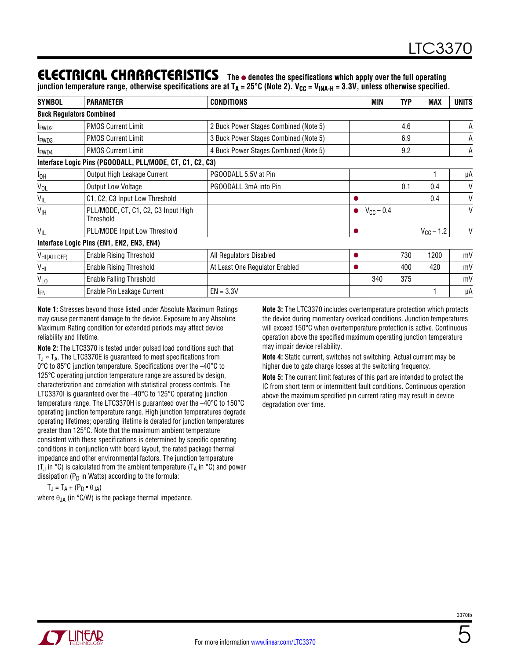### **ELECTRICAL CHARACTERISTICS** The  $\bullet$  denotes the specifications which apply over the full operating

junction temperature range, otherwise specifications are at T<sub>A</sub> = 25°C (Note 2). V<sub>CC</sub> = V<sub>INA-H</sub> = 3.3V, unless otherwise specified.

| <b>SYMBOL</b>           | <b>PARAMETER</b>                                          | <b>CONDITIONS</b>                     |           | <b>MIN</b>     | <b>TYP</b> | <b>MAX</b>     | <b>UNITS</b> |
|-------------------------|-----------------------------------------------------------|---------------------------------------|-----------|----------------|------------|----------------|--------------|
|                         | <b>Buck Regulators Combined</b>                           |                                       |           |                |            |                |              |
| FWD <sub>2</sub>        | <b>PMOS Current Limit</b>                                 | 2 Buck Power Stages Combined (Note 5) |           |                | 4.6        |                | А            |
| FWD3                    | <b>PMOS Current Limit</b>                                 | 3 Buck Power Stages Combined (Note 5) |           |                | 6.9        |                | Α            |
| FWD4                    | <b>PMOS Current Limit</b>                                 | 4 Buck Power Stages Combined (Note 5) |           |                | 9.2        |                | Α            |
|                         | Interface Logic Pins (PGOODALL, PLL/MODE, CT, C1, C2, C3) |                                       |           |                |            |                |              |
| $I_{OH}$                | Output High Leakage Current                               | PGOODALL 5.5V at Pin                  |           |                |            |                | μA           |
| $V_{OL}$                | <b>Output Low Voltage</b>                                 | PGOODALL 3mA into Pin                 |           |                | 0.1        | 0.4            | V            |
| $V_{IL}$                | C1, C2, C3 Input Low Threshold                            |                                       |           |                |            | 0.4            | V            |
| V <sub>IH</sub>         | PLL/MODE, CT, C1, C2, C3 Input High<br>Threshold          |                                       | $\bullet$ | $V_{CC}$ – 0.4 |            |                | V            |
| $V_{IL}$                | PLL/MODE Input Low Threshold                              |                                       |           |                |            | $V_{CC}$ – 1.2 | V            |
|                         | Interface Logic Pins (EN1, EN2, EN3, EN4)                 |                                       |           |                |            |                |              |
| V <sub>HI(ALLOFF)</sub> | <b>Enable Rising Threshold</b>                            | All Regulators Disabled               | 0         |                | 730        | 1200           | mV           |
| V <sub>HI</sub>         | <b>Enable Rising Threshold</b>                            | At Least One Regulator Enabled        | 0         |                | 400        | 420            | mV           |
| $V_{L0}$                | <b>Enable Falling Threshold</b>                           |                                       |           | 340            | 375        |                | mV           |
| <sup>I</sup> EN         | Enable Pin Leakage Current                                | $EN = 3.3V$                           |           |                |            |                | μA           |

**Note 1:** Stresses beyond those listed under Absolute Maximum Ratings may cause permanent damage to the device. Exposure to any Absolute Maximum Rating condition for extended periods may affect device reliability and lifetime.

**Note 2:** The LTC3370 is tested under pulsed load conditions such that  $T_J \approx T_A$ . The LTC3370E is guaranteed to meet specifications from 0°C to 85°C junction temperature. Specifications over the –40°C to 125°C operating junction temperature range are assured by design, characterization and correlation with statistical process controls. The LTC3370I is quaranteed over the -40°C to 125°C operating junction temperature range. The LTC3370H is guaranteed over the –40°C to 150°C operating junction temperature range. High junction temperatures degrade operating lifetimes; operating lifetime is derated for junction temperatures greater than 125°C. Note that the maximum ambient temperature consistent with these specifications is determined by specific operating conditions in conjunction with board layout, the rated package thermal impedance and other environmental factors. The junction temperature (T<sub>J</sub> in  $\degree$ C) is calculated from the ambient temperature (T<sub>A</sub> in  $\degree$ C) and power dissipation ( $P_D$  in Watts) according to the formula:

**Note 3:** The LTC3370 includes overtemperature protection which protects the device during momentary overload conditions. Junction temperatures will exceed 150°C when overtemperature protection is active. Continuous operation above the specified maximum operating junction temperature may impair device reliability. **Note 4:** Static current, switches not switching. Actual current may be

higher due to gate charge losses at the switching frequency. **Note 5:** The current limit features of this part are intended to protect the

IC from short term or intermittent fault conditions. Continuous operation above the maximum specified pin current rating may result in device degradation over time.

 $T_J = T_A + (P_D \bullet \theta_{JA})$ 

where  $\theta_{JA}$  (in °C/W) is the package thermal impedance.



5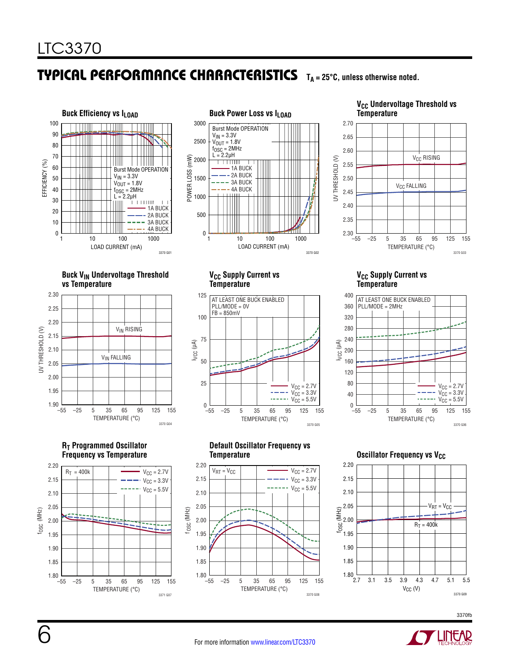<span id="page-5-0"></span>



#### **V<sub>CC</sub> Undervoltage Threshold vs Temperature**



#### **Buck V<sub>IN</sub> Undervoltage Threshold vs Temperature**



### **R<sub>T</sub> Programmed Oscillator Frequency vs Temperature**



#### **VCC Supply Current vs Temperature**



### **VCC Supply Current vs Temperature**



#### **Default Oscillator Frequency vs Temperature**



### **Oscillator Frequency vs V<sub>CC</sub>**



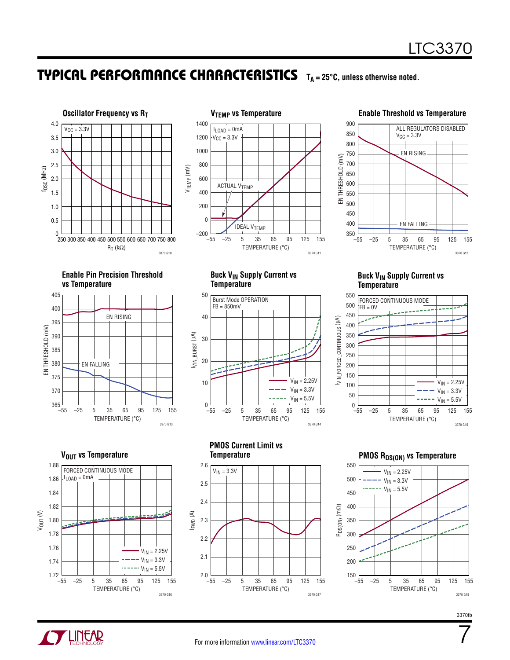



#### **Enable Threshold vs Temperature**



**Enable Pin Precision Threshold vs Temperature**



**V<sub>OUT</sub>** vs Temperature



**Buck VIN Supply Current vs Temperature**



**Buck V<sub>IN</sub> Supply Current vs Temperature**



**PMOS Current Limit vs Temperature**



**PMOS RDS(ON) VS Temperature** 



7

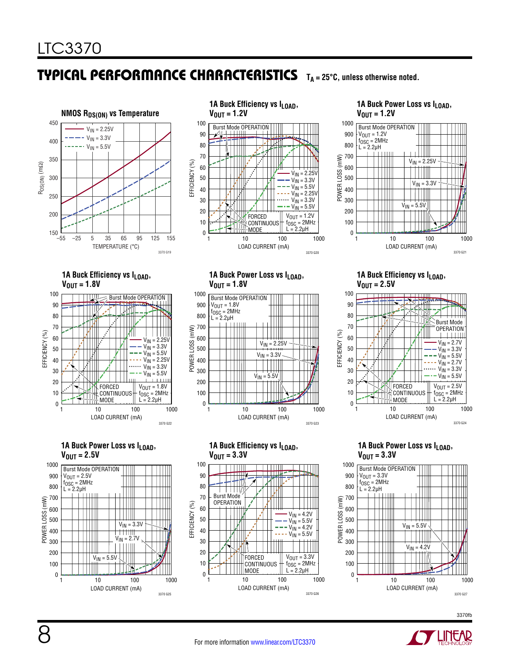

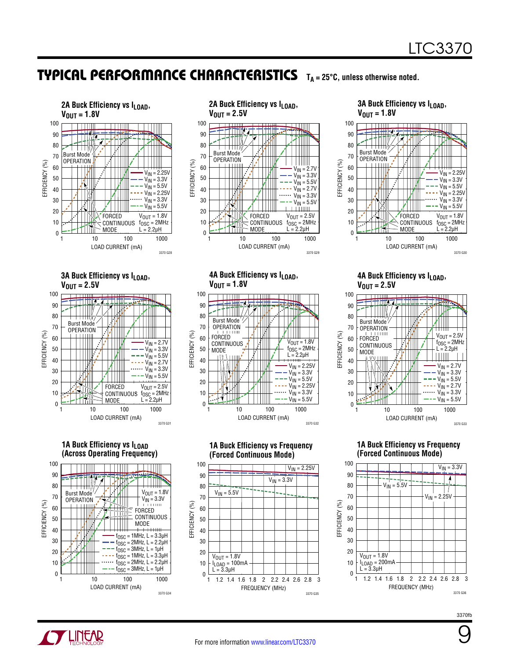





**4A Buck Efficiency vs ILOAD,** 

**(Forced Continuous Mode)**

LOAD CURRENT (mA)

 $V_{\text{IN}} = 3.3V$ 

1 10 100 1000

3370 G32

 $V_{IN} = 2.25V$ 

3370 G35

 $V_{IN} = 2.25V$  $V_{\text{IN}} = 3.3V$  $V_{IN} = 5.5V$  $V_{IN} = 2.25V$  $V_{IN} = 3.3V$  $\overline{V_{IN}}$  = 5.5V

 $V_{\text{OUT}} = 1.8V$  $f<sub>OSC</sub> = 2MHz$  $L = 2.2 \mu H$ 

 $V_{\text{OUT}} = 1.8V$ 

Burst Mode OPERATION FORCED **CONTINUOUS** MODE

90 80

70

0

100 90 80

EFFICIENCY (%)

EFFICIENCY (%)

0

 $V<sub>OUT</sub> = 1.8V$  $I_{\text{LOAD}}$  = 100mA  $L = 3.3 \mu H$ 

 $V_{IN} = 5.5V$ 

50 60

70

50 60

#### **3A Buck Efficiency vs ILOAD,**   $V_{\text{OUT}} = 1.8V$ 100 90 ₩₩, 80 Burst Mode 70 **OPERATION** 60  $V_{IN} = 2.25V$



**4A Buck Efficiency vs ILOAD,**   $V_{\text{OUT}} = 2.5V$ 



**1A Buck Efficiency vs Frequency (Forced Continuous Mode)**



3370fb



FREQUENCY (MHz)

1 1.2 1.4 1.6 1.8 2 2.2 2.4 2.6 2.8 3

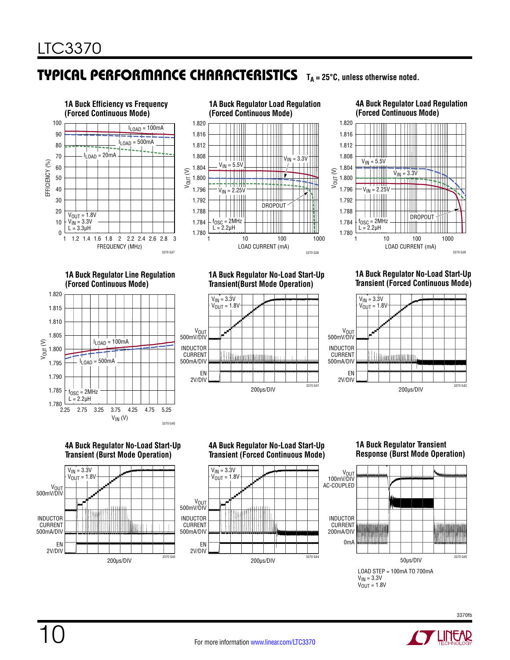

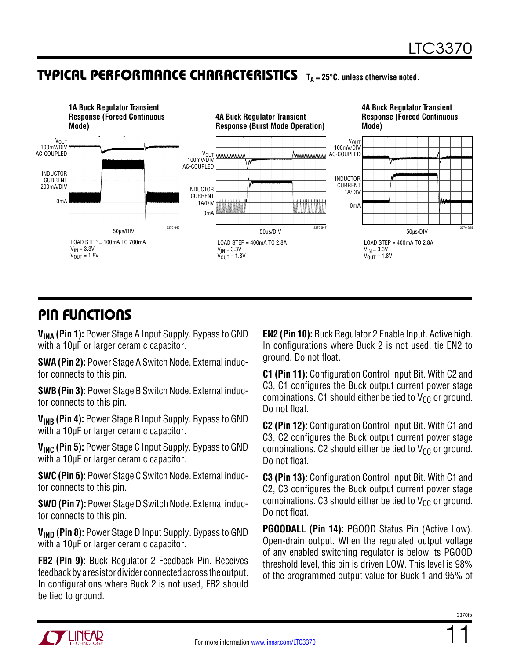

# Pin Functions

**VINA (Pin 1):** Power Stage A Input Supply. Bypass to GND with a 10µF or larger ceramic capacitor.

**SWA (Pin 2):** Power Stage A Switch Node. External inductor connects to this pin.

**SWB (Pin 3):** Power Stage B Switch Node. External inductor connects to this pin.

**VINB (Pin 4):** Power Stage B Input Supply. Bypass to GND with a 10µF or larger ceramic capacitor.

**V<sub>INC</sub> (Pin 5):** Power Stage C Input Supply. Bypass to GND with a 10µF or larger ceramic capacitor.

**SWC (Pin 6):** Power Stage C Switch Node. External inductor connects to this pin.

**SWD (Pin 7):** Power Stage D Switch Node. External inductor connects to this pin.

**V<sub>IND</sub>** (Pin 8): Power Stage D Input Supply. Bypass to GND with a 10µF or larger ceramic capacitor.

**FB2 (Pin 9):** Buck Regulator 2 Feedback Pin. Receives feedback by a resistor divider connected across the output. In configurations where Buck 2 is not used, FB2 should be tied to ground.

**EN2 (Pin 10):** Buck Regulator 2 Enable Input. Active high. In configurations where Buck 2 is not used, tie EN2 to ground. Do not float.

**C1 (Pin 11):** Configuration Control Input Bit. With C2 and C3, C1 configures the Buck output current power stage combinations. C1 should either be tied to  $V_{CC}$  or ground. Do not float.

**C2 (Pin 12):** Configuration Control Input Bit. With C1 and C3, C2 configures the Buck output current power stage combinations. C2 should either be tied to  $V_{CC}$  or ground. Do not float.

**C3 (Pin 13):** Configuration Control Input Bit. With C1 and C2, C3 configures the Buck output current power stage combinations. C3 should either be tied to  $V_{CC}$  or ground. Do not float.

**PGOODALL (Pin 14):** PGOOD Status Pin (Active Low). Open-drain output. When the regulated output voltage of any enabled switching regulator is below its PGOOD threshold level, this pin is driven LOW. This level is 98% of the programmed output value for Buck 1 and 95% of



11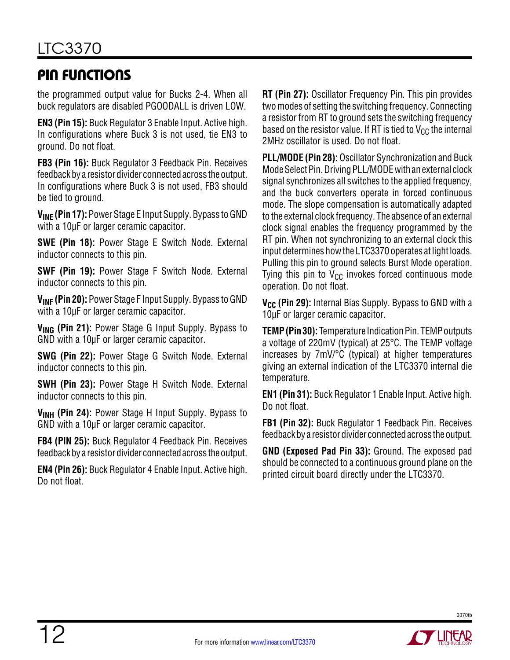# Pin Functions

the programmed output value for Bucks 2-4. When all buck regulators are disabled PGOODALL is driven LOW.

**EN3 (Pin 15):** Buck Regulator 3 Enable Input. Active high. In configurations where Buck 3 is not used, tie EN3 to ground. Do not float.

**FB3 (Pin 16):** Buck Regulator 3 Feedback Pin. Receives feedback by a resistor divider connected across the output. In configurations where Buck 3 is not used, FB3 should be tied to ground.

**VINE (Pin 17):** Power Stage E Input Supply. Bypass to GND with a 10µF or larger ceramic capacitor.

**SWE (Pin 18):** Power Stage E Switch Node. External inductor connects to this pin.

**SWF (Pin 19):** Power Stage F Switch Node. External inductor connects to this pin.

**VINF (Pin 20):** Power Stage F Input Supply. Bypass to GND with a 10µF or larger ceramic capacitor.

**VING (Pin 21):** Power Stage G Input Supply. Bypass to GND with a 10µF or larger ceramic capacitor.

**SWG (Pin 22):** Power Stage G Switch Node. External inductor connects to this pin.

**SWH (Pin 23):** Power Stage H Switch Node. External inductor connects to this pin.

**VINH (Pin 24):** Power Stage H Input Supply. Bypass to GND with a 10µF or larger ceramic capacitor.

**FB4 (PIN 25):** Buck Regulator 4 Feedback Pin. Receives feedback by a resistor divider connected across the output.

**EN4 (Pin 26):** Buck Regulator 4 Enable Input. Active high. Do not float.

**RT (Pin 27):** Oscillator Frequency Pin. This pin provides two modes of setting the switching frequency. Connecting a resistor from RT to ground sets the switching frequency based on the resistor value. If RT is tied to  $V_{CC}$  the internal 2MHz oscillator is used. Do not float.

**PLL/MODE (Pin 28):** Oscillator Synchronization and Buck Mode Select Pin. Driving PLL/MODE with an external clock signal synchronizes all switches to the applied frequency, and the buck converters operate in forced continuous mode. The slope compensation is automatically adapted to the external clock frequency. The absence of an external clock signal enables the frequency programmed by the RT pin. When not synchronizing to an external clock this input determines how the LTC3370 operates at light loads. Pulling this pin to ground selects Burst Mode operation. Tying this pin to  $V_{CC}$  invokes forced continuous mode operation. Do not float.

**V<sub>CC</sub>** (Pin 29): Internal Bias Supply. Bypass to GND with a 10µF or larger ceramic capacitor.

**TEMP (Pin 30):** Temperature Indication Pin. TEMP outputs a voltage of 220mV (typical) at 25°C. The TEMP voltage increases by 7mV/°C (typical) at higher temperatures giving an external indication of the LTC3370 internal die temperature.

**EN1 (Pin 31):** Buck Regulator 1 Enable Input. Active high. Do not float.

**FB1 (Pin 32):** Buck Regulator 1 Feedback Pin. Receives feedback by a resistor divider connected across the output.

**GND (Exposed Pad Pin 33):** Ground. The exposed pad should be connected to a continuous ground plane on the printed circuit board directly under the LTC3370.

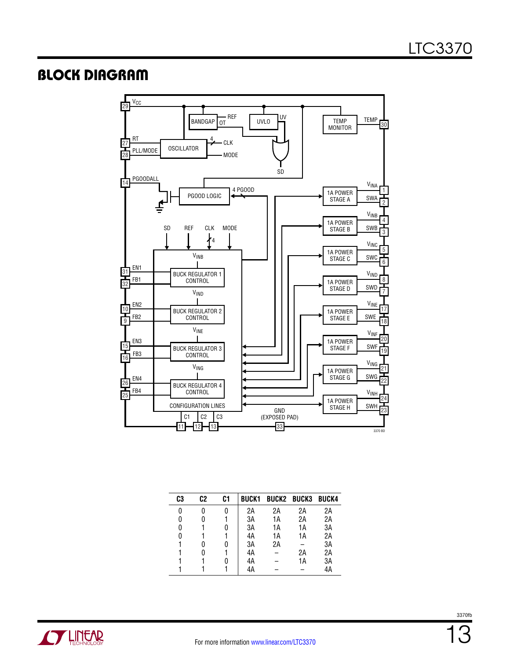### <span id="page-12-0"></span>Block Diagram



| C3 | C2 | C1 | <b>BUCK1</b> |    | <b>BUCK2 BUCK3 BUCK4</b> |    |
|----|----|----|--------------|----|--------------------------|----|
| 0  |    |    | 2Α           | 2Α | 2Α                       | 2Α |
| 0  |    |    | 3A           | 1А | 2Α                       | 2A |
| 0  |    |    | 3A           | 1А | 1А                       | 3A |
| 0  |    |    | 4A           | 1А | 1А                       | 2A |
|    |    |    | 3A           | 2A |                          | 3A |
|    |    |    | 4A           |    | 2Α                       | 2A |
|    |    |    | 4A           |    | 1А                       | 3A |
|    |    |    | 4A           |    |                          | 4A |

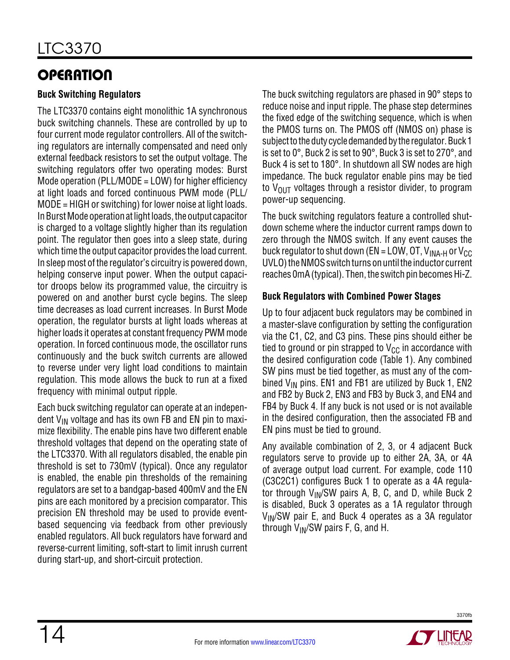# <span id="page-13-0"></span>**OPERATION**

### **Buck Switching Regulators**

The LTC3370 contains eight monolithic 1A synchronous buck switching channels. These are controlled by up to four current mode regulator controllers. All of the switching regulators are internally compensated and need only external feedback resistors to set the output voltage. The switching regulators offer two operating modes: Burst Mode operation (PLL/MODE = LOW) for higher efficiency at light loads and forced continuous PWM mode (PLL/ MODE = HIGH or switching) for lower noise at light loads. In Burst Mode operation at light loads, the output capacitor is charged to a voltage slightly higher than its regulation point. The regulator then goes into a sleep state, during which time the output capacitor provides the load current. In sleep most of the regulator's circuitry is powered down, helping conserve input power. When the output capacitor droops below its programmed value, the circuitry is powered on and another burst cycle begins. The sleep time decreases as load current increases. In Burst Mode operation, the regulator bursts at light loads whereas at higher loads it operates at constant frequency PWM mode operation. In forced continuous mode, the oscillator runs continuously and the buck switch currents are allowed to reverse under very light load conditions to maintain regulation. This mode allows the buck to run at a fixed frequency with minimal output ripple.

Each buck switching regulator can operate at an independent  $V_{IN}$  voltage and has its own FB and EN pin to maximize flexibility. The enable pins have two different enable threshold voltages that depend on the operating state of the LTC3370. With all regulators disabled, the enable pin threshold is set to 730mV (typical). Once any regulator is enabled, the enable pin thresholds of the remaining regulators are set to a bandgap-based 400mV and the EN pins are each monitored by a precision comparator. This precision EN threshold may be used to provide eventbased sequencing via feedback from other previously enabled regulators. All buck regulators have forward and reverse-current limiting, soft-start to limit inrush current during start-up, and short-circuit protection.

The buck switching regulators are phased in 90° steps to reduce noise and input ripple. The phase step determines the fixed edge of the switching sequence, which is when the PMOS turns on. The PMOS off (NMOS on) phase is subject to the duty cycle demanded by the regulator. Buck 1 is set to 0°, Buck 2 is set to 90°, Buck 3 is set to 270°, and Buck 4 is set to 180°. In shutdown all SW nodes are high impedance. The buck regulator enable pins may be tied to  $V_{\text{OUT}}$  voltages through a resistor divider, to program power-up sequencing.

The buck switching regulators feature a controlled shutdown scheme where the inductor current ramps down to zero through the NMOS switch. If any event causes the buck regulator to shut down (EN = LOW, OT,  $V_{INA-H}$  or  $V_{CC}$ UVLO) the NMOS switch turns on until the inductor current reaches 0mA (typical). Then, the switch pin becomes Hi-Z.

### **Buck Regulators with Combined Power Stages**

Up to four adjacent buck regulators may be combined in a master-slave configuration by setting the configuration via the C1, C2, and C3 pins. These pins should either be tied to ground or pin strapped to  $V_{CC}$  in accordance with the desired configuration code (Table 1). Any combined SW pins must be tied together, as must any of the combined  $V_{IN}$  pins. EN1 and FB1 are utilized by Buck 1, EN2 and FB2 by Buck 2, EN3 and FB3 by Buck 3, and EN4 and FB4 by Buck 4. If any buck is not used or is not available in the desired configuration, then the associated FB and EN pins must be tied to ground.

Any available combination of 2, 3, or 4 adjacent Buck regulators serve to provide up to either 2A, 3A, or 4A of average output load current. For example, code 110 (C3C2C1) configures Buck 1 to operate as a 4A regulator through  $V_{IN}/SW$  pairs A, B, C, and D, while Buck 2 is disabled, Buck 3 operates as a 1A regulator through  $V_{IN}/SW$  pair E, and Buck 4 operates as a 3A regulator through  $V_{IN}/SW$  pairs F, G, and H.

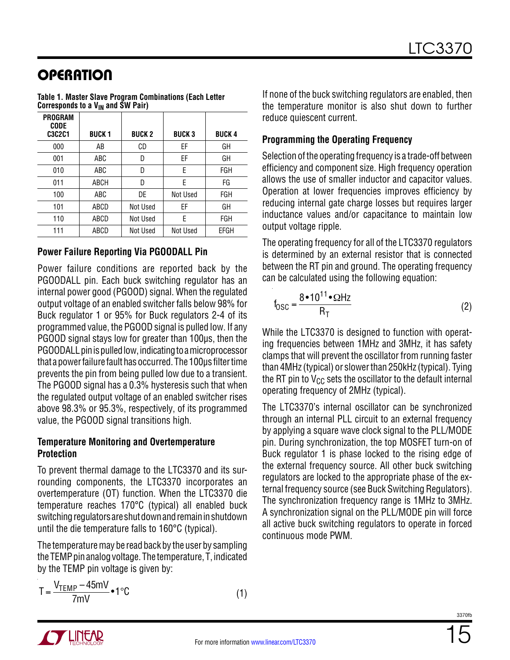# <span id="page-14-0"></span>**OPERATION**

| PROGRAM<br>CODE<br><b>C3C2C1</b> | <b>BUCK1</b> | <b>BUCK 2</b> | <b>BUCK3</b> | <b>BUCK 4</b> |
|----------------------------------|--------------|---------------|--------------|---------------|
| 000                              | AB           | CD            | ΕF           | GH            |
| 001                              | ABC          | D             | ΕF           | GH            |
| 010                              | ABC          | D             | E            | <b>FGH</b>    |
| 011                              | ABCH         | D             | E            | FG            |
| 100                              | ABC          | DE            | Not Used     | FGH           |
| 101                              | ABCD         | Not Used      | ΕF           | GH            |
| 110                              | ABCD         | Not Used      | E            | <b>FGH</b>    |
| 111                              | ABCD         | Not Used      | Not Used     | EFGH          |

**Table 1. Master Slave Program Combinations (Each Letter**  Corresponds to a V<sub>IN</sub> and SW Pair)

### **Power Failure Reporting Via PGOODALL Pin**

Power failure conditions are reported back by the PGOODALL pin. Each buck switching regulator has an internal power good (PGOOD) signal. When the regulated output voltage of an enabled switcher falls below 98% for Buck regulator 1 or 95% for Buck regulators 2-4 of its programmed value, the PGOOD signal is pulled low. If any PGOOD signal stays low for greater than 100µs, then the PGOODALL pin is pulled low, indicating to a microprocessor that a powerfailure faulthasoccurred. The 100µs filtertime prevents the pin from being pulled low due to a transient. The PGOOD signal has a 0.3% hysteresis such that when the regulated output voltage of an enabled switcher rises above 98.3% or 95.3%, respectively, of its programmed value, the PGOOD signal transitions high.

### **Temperature Monitoring and Overtemperature Protection**

To prevent thermal damage to the LTC3370 and its surrounding components, the LTC3370 incorporates an overtemperature (OT) function. When the LTC3370 die temperature reaches 170°C (typical) all enabled buck switching regulators are shut down and remain in shutdown until the die temperature falls to 160°C (typical).

The temperature may be read back by the user by sampling theTEMPpinanalogvoltage. The temperature, T, indicated by the TEMP pin voltage is given by:

$$
T = \frac{V_{\text{TEMP}} - 45mV}{7mV} \cdot 1^{\circ}C
$$
 (1)

If none of the buck switching regulators are enabled, then the temperature monitor is also shut down to further reduce quiescent current.

### **Programming the Operating Frequency**

Selection of the operating frequency is a trade-off between efficiency and component size. High frequency operation allows the use of smaller inductor and capacitor values. Operation at lower frequencies improves efficiency by reducing internal gate charge losses but requires larger inductance values and/or capacitance to maintain low output voltage ripple.

The operating frequency for all of the LTC3370 regulators is determined by an external resistor that is connected between the RT pin and ground. The operating frequency can be calculated using the following equation:

$$
f_{\text{OSC}} = \frac{8 \cdot 10^{11} \cdot \Omega \text{Hz}}{R_{\text{T}}}
$$
 (2)

While the LTC3370 is designed to function with operating frequencies between 1MHz and 3MHz, it has safety clamps that will prevent the oscillator from running faster than 4MHz (typical) or slower than 250kHz (typical). Tying the RT pin to  $V_{CC}$  sets the oscillator to the default internal operating frequency of 2MHz (typical).

The LTC3370's internal oscillator can be synchronized through an internal PLL circuit to an external frequency by applying a square wave clock signal to the PLL/MODE pin. During synchronization, the top MOSFET turn-on of Buck regulator 1 is phase locked to the rising edge of the external frequency source. All other buck switching regulators are locked to the appropriate phase of the external frequency source (see Buck Switching Regulators). The synchronization frequency range is 1MHz to 3MHz. A synchronization signal on the PLL/MODE pin will force all active buck switching regulators to operate in forced continuous mode PWM.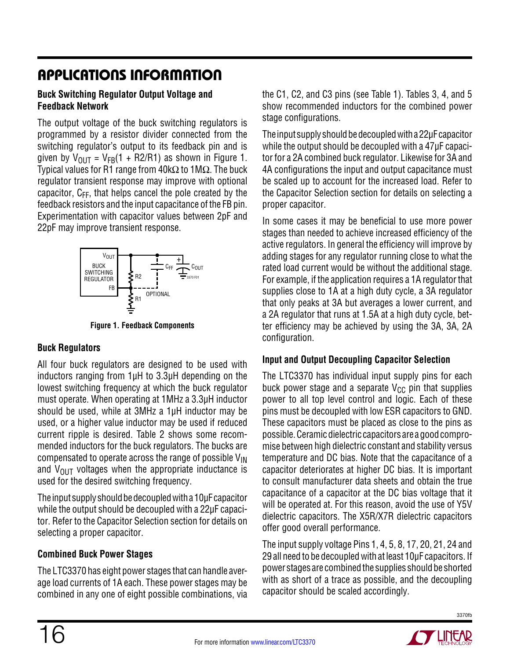# <span id="page-15-0"></span>Applications Information

### **Buck Switching Regulator Output Voltage and Feedback Network**

The output voltage of the buck switching regulators is programmed by a resistor divider connected from the switching regulator's output to its feedback pin and is given by  $V_{OIII} = V_{FB}(1 + R2/R1)$  as shown in Figure 1. Typical values for R1 range from 40kΩ to 1MΩ. The buck regulator transient response may improve with optional capacitor,  $C_{FF}$ , that helps cancel the pole created by the feedback resistors and the input capacitance of the FB pin. Experimentation with capacitor values between 2pF and 22pF may improve transient response.



**Figure 1. Feedback Components**

### **Buck Regulators**

All four buck regulators are designed to be used with inductors ranging from 1µH to 3.3µH depending on the lowest switching frequency at which the buck regulator must operate. When operating at 1MHz a 3.3µH inductor should be used, while at 3MHz a 1µH inductor may be used, or a higher value inductor may be used if reduced current ripple is desired. Table 2 shows some recommended inductors for the buck regulators. The bucks are compensated to operate across the range of possible  $V_{IN}$ and  $V_{\text{OUT}}$  voltages when the appropriate inductance is used for the desired switching frequency.

The input supply should be decoupled with a 10µF capacitor while the output should be decoupled with a 22µF capacitor. Refer to the Capacitor Selection section for details on selecting a proper capacitor.

### **Combined Buck Power Stages**

The LTC3370 has eight power stages that can handle average load currents of 1A each. These power stages may be combined in any one of eight possible combinations, via the C1, C2, and C3 pins (see Table 1). Tables 3, 4, and 5 show recommended inductors for the combined power stage configurations.

The input supply should be decoupled with a 22µF capacitor while the output should be decoupled with a 47µF capacitor for a 2A combined buck regulator. Likewise for 3A and 4A configurations the input and output capacitance must be scaled up to account for the increased load. Refer to the Capacitor Selection section for details on selecting a proper capacitor.

In some cases it may be beneficial to use more power stages than needed to achieve increased efficiency of the active regulators. In general the efficiency will improve by adding stages for any regulator running close to what the rated load current would be without the additional stage. For example, if the application requires a 1A regulator that supplies close to 1A at a high duty cycle, a 3A regulator that only peaks at 3A but averages a lower current, and a 2A regulator that runs at 1.5A at a high duty cycle, better efficiency may be achieved by using the 3A, 3A, 2A configuration.

### **Input and Output Decoupling Capacitor Selection**

The LTC3370 has individual input supply pins for each buck power stage and a separate  $V_{CC}$  pin that supplies power to all top level control and logic. Each of these pins must be decoupled with low ESR capacitors to GND. These capacitors must be placed as close to the pins as possible. Ceramicdielectric capacitors are a goodcompromise between high dielectric constant and stability versus temperature and DC bias. Note that the capacitance of a capacitor deteriorates at higher DC bias. It is important to consult manufacturer data sheets and obtain the true capacitance of a capacitor at the DC bias voltage that it will be operated at. For this reason, avoid the use of Y5V dielectric capacitors. The X5R/X7R dielectric capacitors offer good overall performance.

The input supply voltage Pins 1, 4, 5, 8, 17, 20, 21, 24 and 29 all need to be decoupled with at least 10µF capacitors. If power stages are combined the supplies should be shorted with as short of a trace as possible, and the decoupling capacitor should be scaled accordingly.



3370fb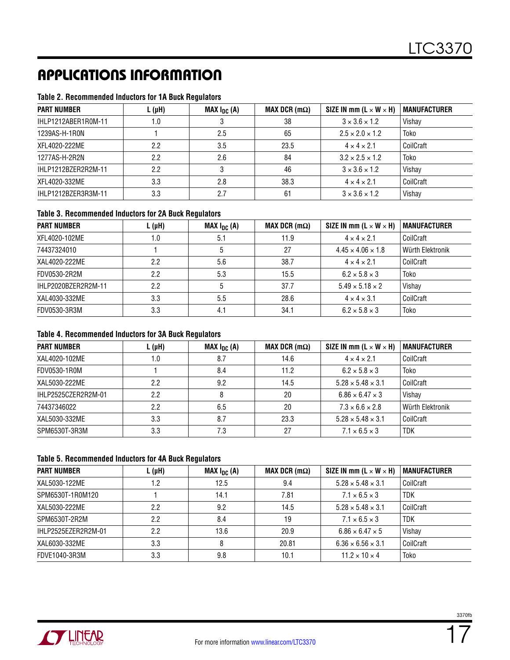# Applications Information

### **Table 2. Recommended Inductors for 1A Buck Regulators**

| <b>PART NUMBER</b>  | $L(\mu H)$ | MAX $I_{DC}$ (A) | MAX DCR $(m\Omega)$ | SIZE IN mm ( $L \times W \times H$ ) | <b>MANUFACTURER</b> |
|---------------------|------------|------------------|---------------------|--------------------------------------|---------------------|
| IHLP1212ABER1R0M-11 | 1.0        |                  | 38                  | $3 \times 3.6 \times 1.2$            | Vishay              |
| 1239AS-H-1R0N       |            | 2.5              | 65                  | $2.5 \times 2.0 \times 1.2$          | Toko                |
| XFL4020-222ME       | 2.2        | 3.5              | 23.5                | $4 \times 4 \times 2.1$              | CoilCraft           |
| 1277AS-H-2R2N       | 2.2        | 2.6              | 84                  | $3.2 \times 2.5 \times 1.2$          | Toko                |
| IHLP1212BZER2R2M-11 | 2.2        |                  | 46                  | $3 \times 3.6 \times 1.2$            | Vishay              |
| XFL4020-332ME       | 3.3        | 2.8              | 38.3                | $4 \times 4 \times 2.1$              | CoilCraft           |
| IHLP1212BZER3R3M-11 | 3.3        | 2.7              | 61                  | $3 \times 3.6 \times 1.2$            | Vishay              |

### **Table 3. Recommended Inductors for 2A Buck Regulators**

| <b>PART NUMBER</b>  | $L(\mu H)$ | MAX $I_{DC}$ (A) | MAX DCR $(m\Omega)$ | SIZE IN mm ( $L \times W \times H$ ) | <b>MANUFACTURER</b> |
|---------------------|------------|------------------|---------------------|--------------------------------------|---------------------|
| XFL4020-102ME       | 1.0        | 5.1              | 11.9                | $4 \times 4 \times 2.1$              | CoilCraft           |
| 74437324010         |            |                  | 27                  | $4.45 \times 4.06 \times 1.8$        | Würth Elektronik    |
| XAL4020-222ME       | 2.2        | 5.6              | 38.7                | $4 \times 4 \times 2.1$              | CoilCraft           |
| FDV0530-2R2M        | 2.2        | 5.3              | 15.5                | $6.2 \times 5.8 \times 3$            | Toko                |
| IHLP2020BZER2R2M-11 | 2.2        |                  | 37.7                | $5.49 \times 5.18 \times 2$          | Vishay              |
| XAL4030-332ME       | 3.3        | 5.5              | 28.6                | $4 \times 4 \times 3.1$              | CoilCraft           |
| FDV0530-3R3M        | 3.3        | 4.1              | 34.1                | $6.2 \times 5.8 \times 3$            | Toko                |

### **Table 4. Recommended Inductors for 3A Buck Regulators**

| <b>PART NUMBER</b>  | $L(\mu H)$ | MAX $I_{DC}$ (A) | MAX DCR $(m\Omega)$ | SIZE IN mm ( $L \times W \times H$ ) | <b>MANUFACTURER</b> |
|---------------------|------------|------------------|---------------------|--------------------------------------|---------------------|
| XAL4020-102ME       | 1.0        | 8.7              | 14.6                | $4 \times 4 \times 2.1$              | CoilCraft           |
| FDV0530-1R0M        |            | 8.4              | 11.2                | $6.2 \times 5.8 \times 3$            | Toko                |
| XAL5030-222ME       | 2.2        | 9.2              | 14.5                | $5.28 \times 5.48 \times 3.1$        | CoilCraft           |
| IHLP2525CZER2R2M-01 | 2.2        |                  | 20                  | $6.86 \times 6.47 \times 3$          | Vishay              |
| 74437346022         | 2.2        | 6.5              | 20                  | $7.3 \times 6.6 \times 2.8$          | Würth Elektronik    |
| XAL5030-332ME       | 3.3        | 8.7              | 23.3                | $5.28 \times 5.48 \times 3.1$        | CoilCraft           |
| SPM6530T-3R3M       | 3.3        | 7.3              | 27                  | $7.1 \times 6.5 \times 3$            | <b>TDK</b>          |

### **Table 5. Recommended Inductors for 4A Buck Regulators**

| <b>PART NUMBER</b>  | $L(\mu H)$ | MAX $I_{DC}$ (A) | MAX DCR $(m\Omega)$ | SIZE IN mm ( $L \times W \times H$ ) | <b>MANUFACTURER</b> |
|---------------------|------------|------------------|---------------------|--------------------------------------|---------------------|
| XAL5030-122ME       | 1.2        | 12.5             | 9.4                 | $5.28 \times 5.48 \times 3.1$        | CoilCraft           |
| SPM6530T-1R0M120    |            | 14.1             | 7.81                | $7.1 \times 6.5 \times 3$            | <b>TDK</b>          |
| XAL5030-222ME       | 2.2        | 9.2              | 14.5                | $5.28 \times 5.48 \times 3.1$        | CoilCraft           |
| SPM6530T-2R2M       | 2.2        | 8.4              | 19                  | $7.1 \times 6.5 \times 3$            | <b>TDK</b>          |
| IHLP2525EZER2R2M-01 | 2.2        | 13.6             | 20.9                | $6.86 \times 6.47 \times 5$          | Vishay              |
| XAL6030-332ME       | 3.3        |                  | 20.81               | $6.36 \times 6.56 \times 3.1$        | CoilCraft           |
| FDVE1040-3R3M       | 3.3        | 9.8              | 10.1                | $11.2 \times 10 \times 4$            | Toko                |

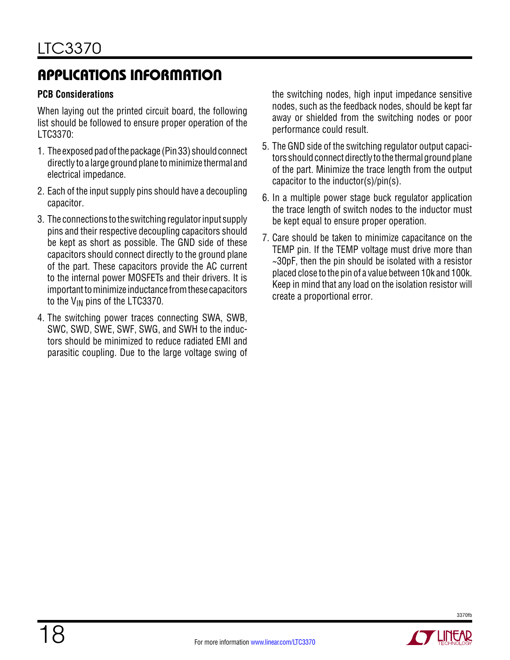# <span id="page-17-0"></span>Applications Information

### **PCB Considerations**

When laying out the printed circuit board, the following list should be followed to ensure proper operation of the LTC3370:

- 1. The exposed pad of the package (Pin 33) should connect directly to a large ground plane to minimize thermal and electrical impedance.
- 2. Each of the input supply pins should have a decoupling capacitor.
- 3. The connections to the switching regulator input supply pins and their respective decoupling capacitors should be kept as short as possible. The GND side of these capacitors should connect directly to the ground plane of the part. These capacitors provide the AC current to the internal power MOSFETs and their drivers. It is important to minimize inductance from these capacitors to the  $V_{IN}$  pins of the LTC3370.
- 4. The switching power traces connecting SWA, SWB, SWC, SWD, SWE, SWF, SWG, and SWH to the inductors should be minimized to reduce radiated EMI and parasitic coupling. Due to the large voltage swing of

the switching nodes, high input impedance sensitive nodes, such as the feedback nodes, should be kept far away or shielded from the switching nodes or poor performance could result.

- 5. The GND side of the switching regulator output capacitors should connect directly to the thermal ground plane of the part. Minimize the trace length from the output capacitor to the inductor(s)/pin(s).
- 6. In a multiple power stage buck regulator application the trace length of switch nodes to the inductor must be kept equal to ensure proper operation.
- 7. Care should be taken to minimize capacitance on the TEMP pin. If the TEMP voltage must drive more than  $\sim$ 30pF, then the pin should be isolated with a resistor placed close to the pin of a value between 10k and 100k. Keep in mind that any load on the isolation resistor will create a proportional error.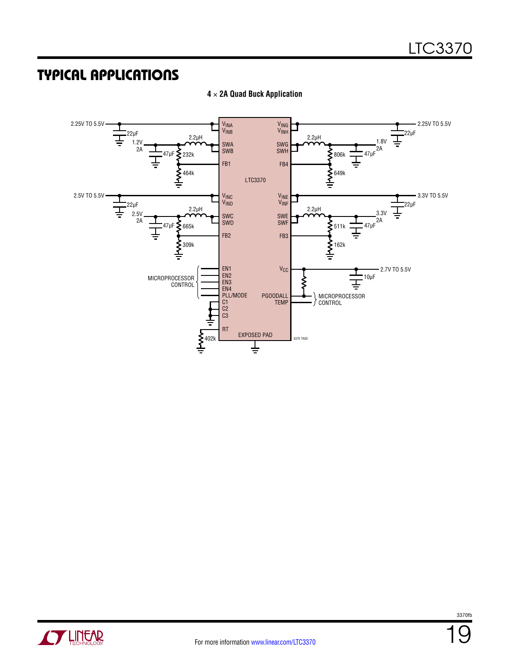## <span id="page-18-0"></span>Typical Applications



**4** × **2A Quad Buck Application**

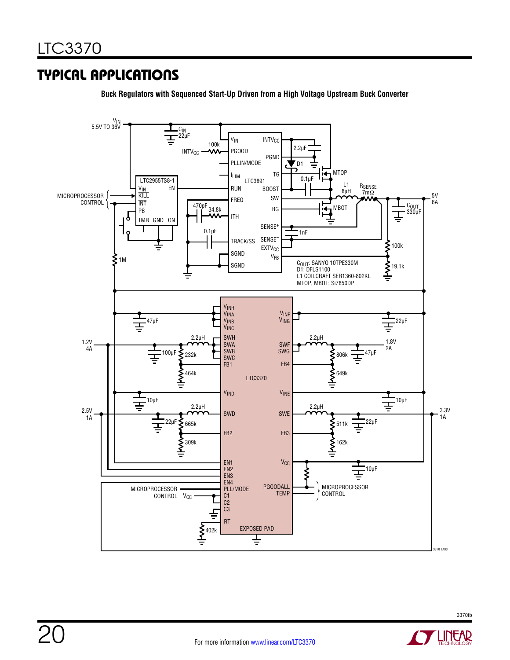## Typical Applications

**Buck Regulators with Sequenced Start-Up Driven from a High Voltage Upstream Buck Converter**



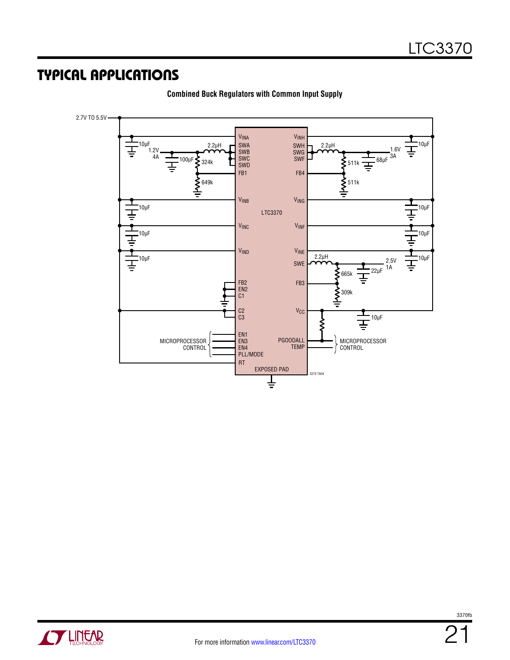### Typical Applications



**Combined Buck Regulators with Common Input Supply**

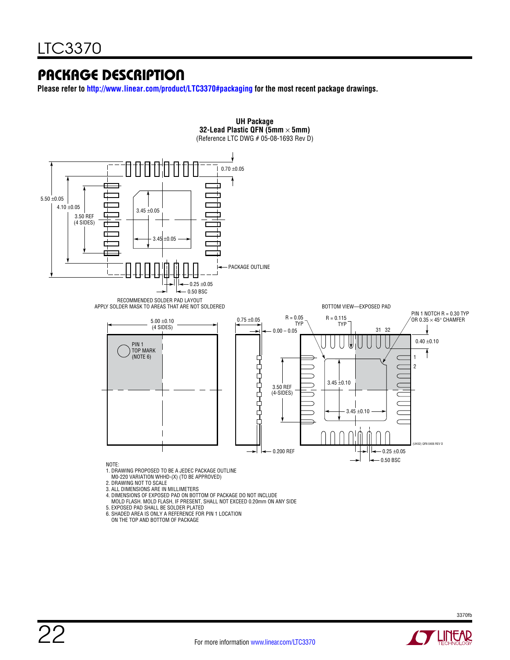### Package Description

**Please refer to<http://www.linear.com/product/LTC3370#packaging>for the most recent package drawings.**



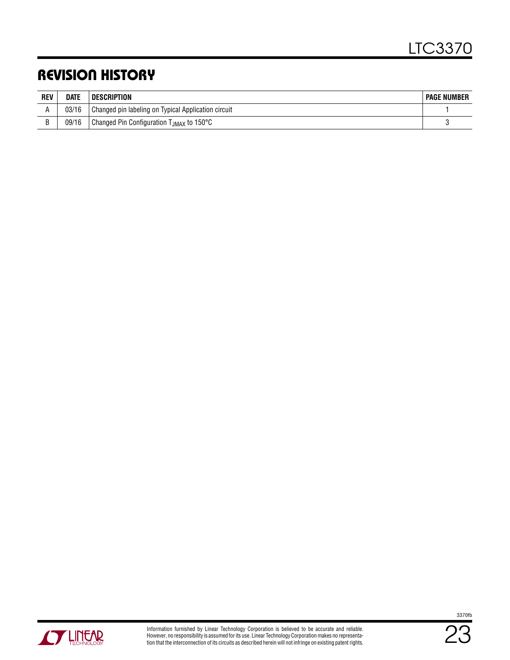# <span id="page-22-0"></span>Revision History

| <b>REV</b> | <b>DATE</b> | <b>DESCRIPTION</b>                                   | <b>PAGE NUMBER</b> |
|------------|-------------|------------------------------------------------------|--------------------|
|            | 03/16       | Changed pin labeling on Typical Application circuit  |                    |
|            | 09/16       | Changed Pin Configuration T <sub>JMAX</sub> to 150°C |                    |